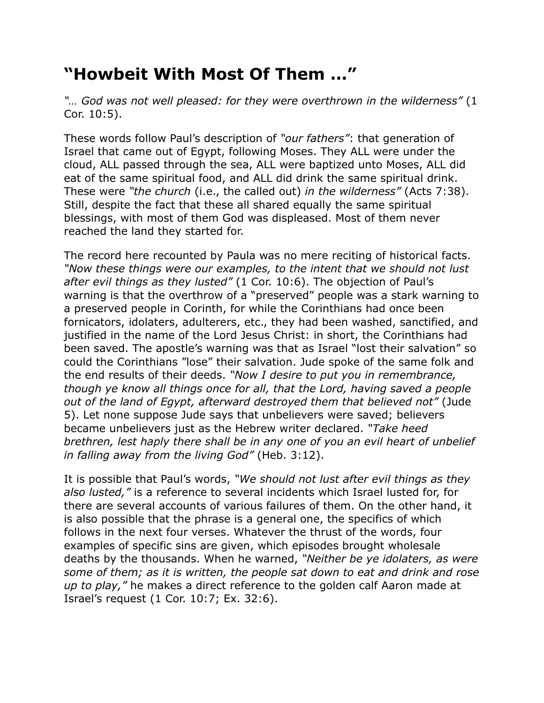## **"Howbeit With Most Of Them …"**

*"… God was not well pleased: for they were overthrown in the wilderness"* (1 Cor. 10:5).

These words follow Paul's description of *"our fathers"*: that generation of Israel that came out of Egypt, following Moses. They ALL were under the cloud, ALL passed through the sea, ALL were baptized unto Moses, ALL did eat of the same spiritual food, and ALL did drink the same spiritual drink. These were *"the church* (i.e., the called out) *in the wilderness"* (Acts 7:38). Still, despite the fact that these all shared equally the same spiritual blessings, with most of them God was displeased. Most of them never reached the land they started for.

The record here recounted by Paula was no mere reciting of historical facts. *"Now these things were our examples, to the intent that we should not lust after evil things as they lusted"* (1 Cor. 10:6). The objection of Paul's warning is that the overthrow of a "preserved" people was a stark warning to a preserved people in Corinth, for while the Corinthians had once been fornicators, idolaters, adulterers, etc., they had been washed, sanctified, and justified in the name of the Lord Jesus Christ: in short, the Corinthians had been saved. The apostle's warning was that as Israel "lost their salvation" so could the Corinthians "lose" their salvation. Jude spoke of the same folk and the end results of their deeds. *"Now I desire to put you in remembrance, though ye know all things once for all, that the Lord, having saved a people out of the land of Egypt, afterward destroyed them that believed not"* (Jude 5). Let none suppose Jude says that unbelievers were saved; believers became unbelievers just as the Hebrew writer declared. *"Take heed brethren, lest haply there shall be in any one of you an evil heart of unbelief in falling away from the living God"* (Heb. 3:12).

It is possible that Paul's words, *"We should not lust after evil things as they also lusted,"* is a reference to several incidents which Israel lusted for, for there are several accounts of various failures of them. On the other hand, it is also possible that the phrase is a general one, the specifics of which follows in the next four verses. Whatever the thrust of the words, four examples of specific sins are given, which episodes brought wholesale deaths by the thousands. When he warned, *"Neither be ye idolaters, as were some of them; as it is written, the people sat down to eat and drink and rose up to play,"* he makes a direct reference to the golden calf Aaron made at Israel's request (1 Cor. 10:7; Ex. 32:6).